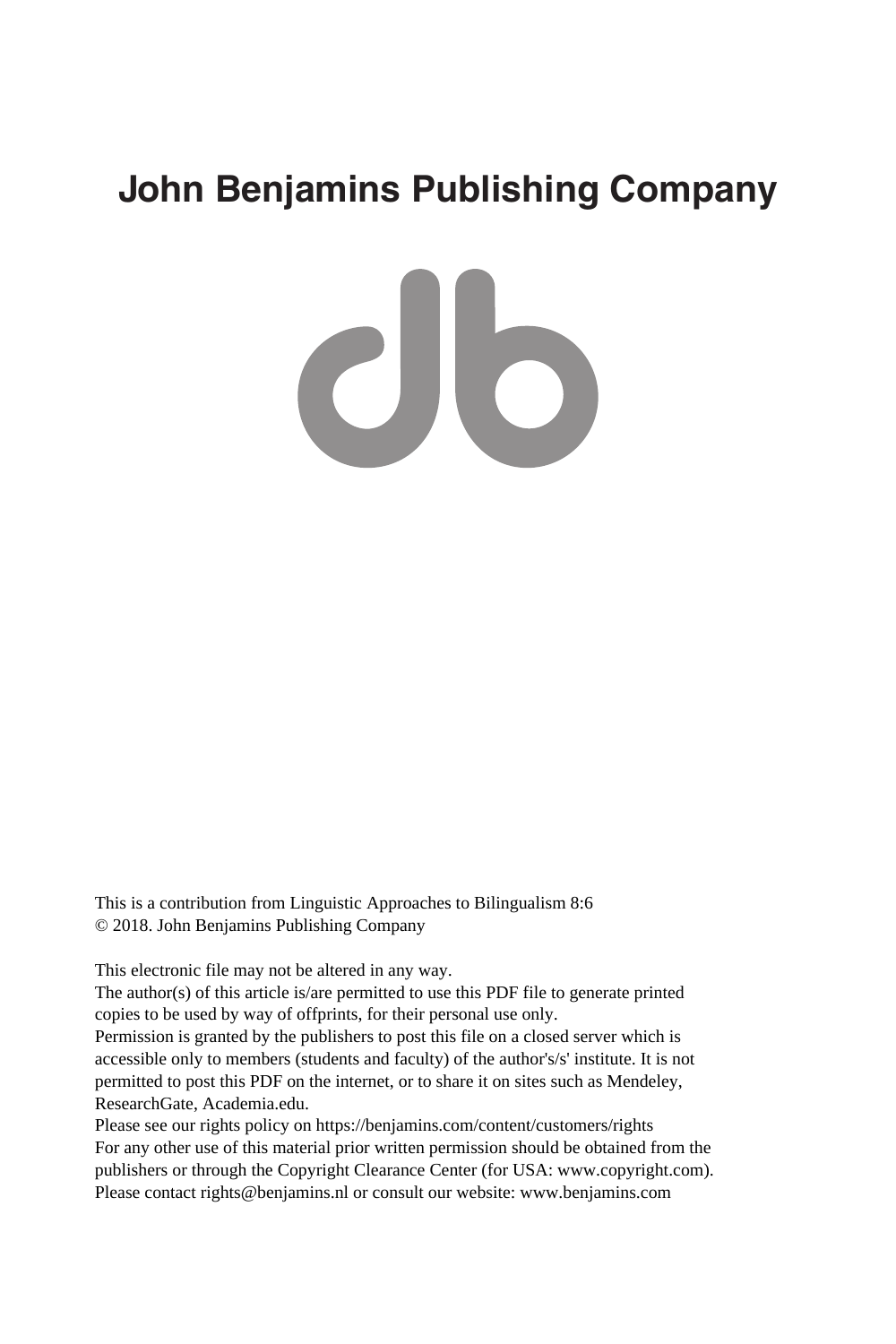# **John Benjamins Publishing Company**

 $c$ lb

This is a contribution from Linguistic Approaches to Bilingualism 8:6 © 2018. John Benjamins Publishing Company

This electronic file may not be altered in any way.

The author(s) of this article is/are permitted to use this PDF file to generate printed copies to be used by way of offprints, for their personal use only.

Permission is granted by the publishers to post this file on a closed server which is accessible only to members (students and faculty) of the author's/s' institute. It is not permitted to post this PDF on the internet, or to share it on sites such as Mendeley, ResearchGate, Academia.edu.

Please see our rights policy on https://benjamins.com/content/customers/rights For any other use of this material prior written permission should be obtained from the publishers or through the Copyright Clearance Center (for USA: www.copyright.com). Please contact rights@benjamins.nl or consult our website: www.benjamins.com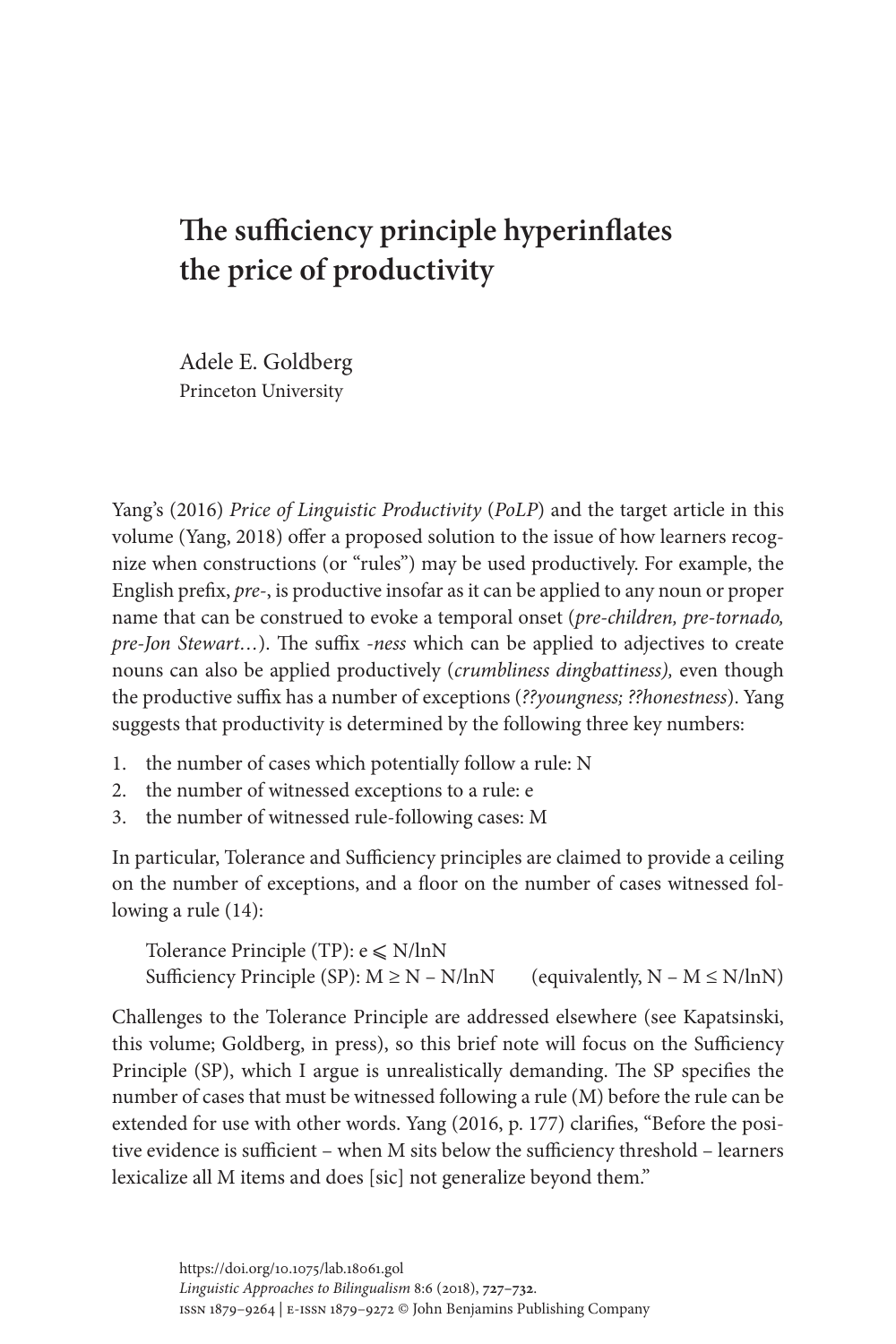# **The sufficiency principle hyperinflates the price of productivity**

Adele E. Goldberg Princeton University

[Yang's \(2016\)](#page-5-0) *Price of Linguistic Productivity* (*PoLP*) and the target article in this volume ([Yang, 2018\)](#page-5-1) offer a proposed solution to the issue of how learners recognize when constructions (or "rules") may be used productively. For example, the English prefix, *pre-*, is productive insofar as it can be applied to any noun or proper name that can be construed to evoke a temporal onset (*pre-children, pre-tornado, pre-Jon Stewart…*). The suffix *-ness* which can be applied to adjectives to create nouns can also be applied productively (*crumbliness dingbattiness),* even though the productive suffix has a number of exceptions (*??youngness; ??honestness*). Yang suggests that productivity is determined by the following three key numbers:

- 1. the number of cases which potentially follow a rule: N
- 2. the number of witnessed exceptions to a rule: e
- 3. the number of witnessed rule-following cases: M

In particular, Tolerance and Sufficiency principles are claimed to provide a ceiling on the number of exceptions, and a floor on the number of cases witnessed following a rule (14):

Tolerance Principle (TP):  $e \le N/lnN$ Sufficiency Principle (SP):  $M \ge N - N / lnN$  (equivalently,  $N - M \le N / lnN$ )

Challenges to the Tolerance Principle are addressed elsewhere (see [Kapatsinski,](#page-5-2)  [this volume;](#page-5-2) [Goldberg, in press\)](#page-5-3), so this brief note will focus on the Sufficiency Principle (SP), which I argue is unrealistically demanding. The SP specifies the number of cases that must be witnessed following a rule (M) before the rule can be extended for use with other words. Yang [\(2016](#page-5-0), p. 177) clarifies, "Before the positive evidence is sufficient – when M sits below the sufficiency threshold – learners lexicalize all M items and does [sic] not generalize beyond them."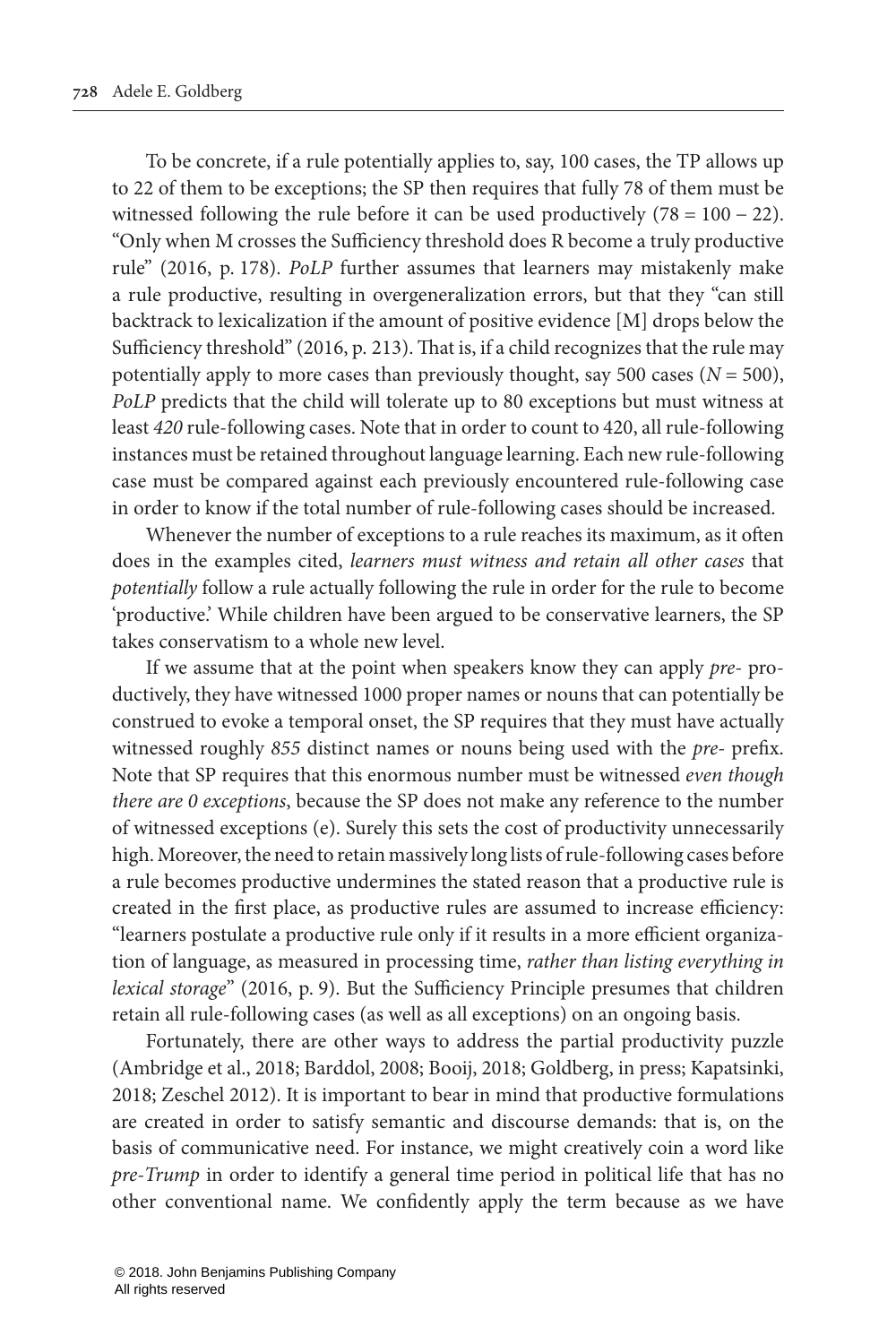To be concrete, if a rule potentially applies to, say, 100 cases, the TP allows up to 22 of them to be exceptions; the SP then requires that fully 78 of them must be witnessed following the rule before it can be used productively  $(78 = 100 - 22)$ . "Only when M crosses the Sufficiency threshold does R become a truly productive rule" (2016, p. 178). *PoLP* further assumes that learners may mistakenly make a rule productive, resulting in overgeneralization errors, but that they "can still backtrack to lexicalization if the amount of positive evidence [M] drops below the Sufficiency threshold" (2016, p. 213). That is, if a child recognizes that the rule may potentially apply to more cases than previously thought, say 500 cases  $(N = 500)$ , *PoLP* predicts that the child will tolerate up to 80 exceptions but must witness at least *420* rule-following cases. Note that in order to count to 420, all rule-following instances must be retained throughout language learning. Each new rule-following case must be compared against each previously encountered rule-following case in order to know if the total number of rule-following cases should be increased.

Whenever the number of exceptions to a rule reaches its maximum, as it often does in the examples cited, *learners must witness and retain all other cases* that *potentially* follow a rule actually following the rule in order for the rule to become 'productive.' While children have been argued to be conservative learners, the SP takes conservatism to a whole new level.

If we assume that at the point when speakers know they can apply *pre-* productively, they have witnessed 1000 proper names or nouns that can potentially be construed to evoke a temporal onset, the SP requires that they must have actually witnessed roughly *855* distinct names or nouns being used with the *pre-* prefix. Note that SP requires that this enormous number must be witnessed *even though there are 0 exceptions*, because the SP does not make any reference to the number of witnessed exceptions (e). Surely this sets the cost of productivity unnecessarily high. Moreover, the need to retain massively long lists of rule-following cases before a rule becomes productive undermines the stated reason that a productive rule is created in the first place, as productive rules are assumed to increase efficiency: "learners postulate a productive rule only if it results in a more efficient organization of language, as measured in processing time, *rather than listing everything in lexical storage*" (2016, p. 9). But the Sufficiency Principle presumes that children retain all rule-following cases (as well as all exceptions) on an ongoing basis.

Fortunately, there are other ways to address the partial productivity puzzle [\(Ambridge et al., 2018](#page-5-4); [Barddol, 2008](#page-5-5); [Booij, 2018;](#page-5-6) [Goldberg, in press;](#page-5-3) [Kapatsinki,](#page-5-7)  [2018;](#page-5-7) [Zeschel 2012](#page-5-8)). It is important to bear in mind that productive formulations are created in order to satisfy semantic and discourse demands: that is, on the basis of communicative need. For instance, we might creatively coin a word like *pre-Trump* in order to identify a general time period in political life that has no other conventional name. We confidently apply the term because as we have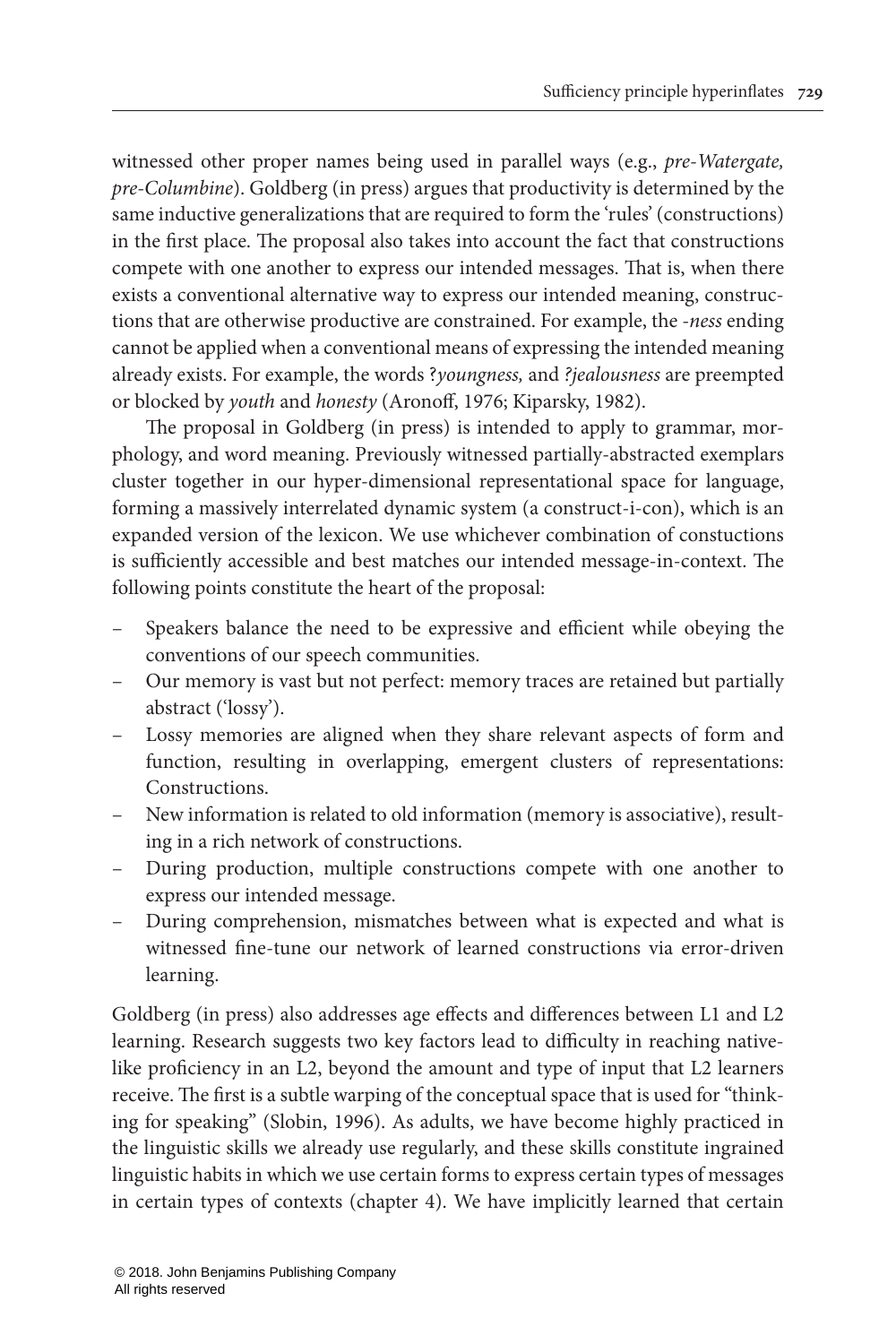witnessed other proper names being used in parallel ways (e.g., *pre-Watergate, pre-Columbine*). [Goldberg \(in press\)](#page-5-3) argues that productivity is determined by the same inductive generalizations that are required to form the 'rules' (constructions) in the first place. The proposal also takes into account the fact that constructions compete with one another to express our intended messages. That is, when there exists a conventional alternative way to express our intended meaning, constructions that are otherwise productive are constrained. For example, the *-ness* ending cannot be applied when a conventional means of expressing the intended meaning already exists. For example, the words ?*youngness,* and *?jealousness* are preempted or blocked by *youth* and *honesty* ([Aronoff, 1976;](#page-5-9) [Kiparsky, 1982](#page-5-10)).

The proposal in [Goldberg \(in press\)](#page-5-3) is intended to apply to grammar, morphology, and word meaning. Previously witnessed partially-abstracted exemplars cluster together in our hyper-dimensional representational space for language, forming a massively interrelated dynamic system (a construct-i-con), which is an expanded version of the lexicon. We use whichever combination of constuctions is sufficiently accessible and best matches our intended message-in-context. The following points constitute the heart of the proposal:

- Speakers balance the need to be expressive and efficient while obeying the conventions of our speech communities.
- Our memory is vast but not perfect: memory traces are retained but partially abstract ('lossy').
- Lossy memories are aligned when they share relevant aspects of form and function, resulting in overlapping, emergent clusters of representations: Constructions.
- New information is related to old information (memory is associative), resulting in a rich network of constructions.
- During production, multiple constructions compete with one another to express our intended message.
- During comprehension, mismatches between what is expected and what is witnessed fine-tune our network of learned constructions via error-driven learning.

[Goldberg \(in press\)](#page-5-3) also addresses age effects and differences between L1 and L2 learning. Research suggests two key factors lead to difficulty in reaching nativelike proficiency in an L2, beyond the amount and type of input that L2 learners receive. The first is a subtle warping of the conceptual space that is used for "thinking for speaking" ([Slobin, 1996](#page-5-11)). As adults, we have become highly practiced in the linguistic skills we already use regularly, and these skills constitute ingrained linguistic habits in which we use certain forms to express certain types of messages in certain types of contexts (chapter 4). We have implicitly learned that certain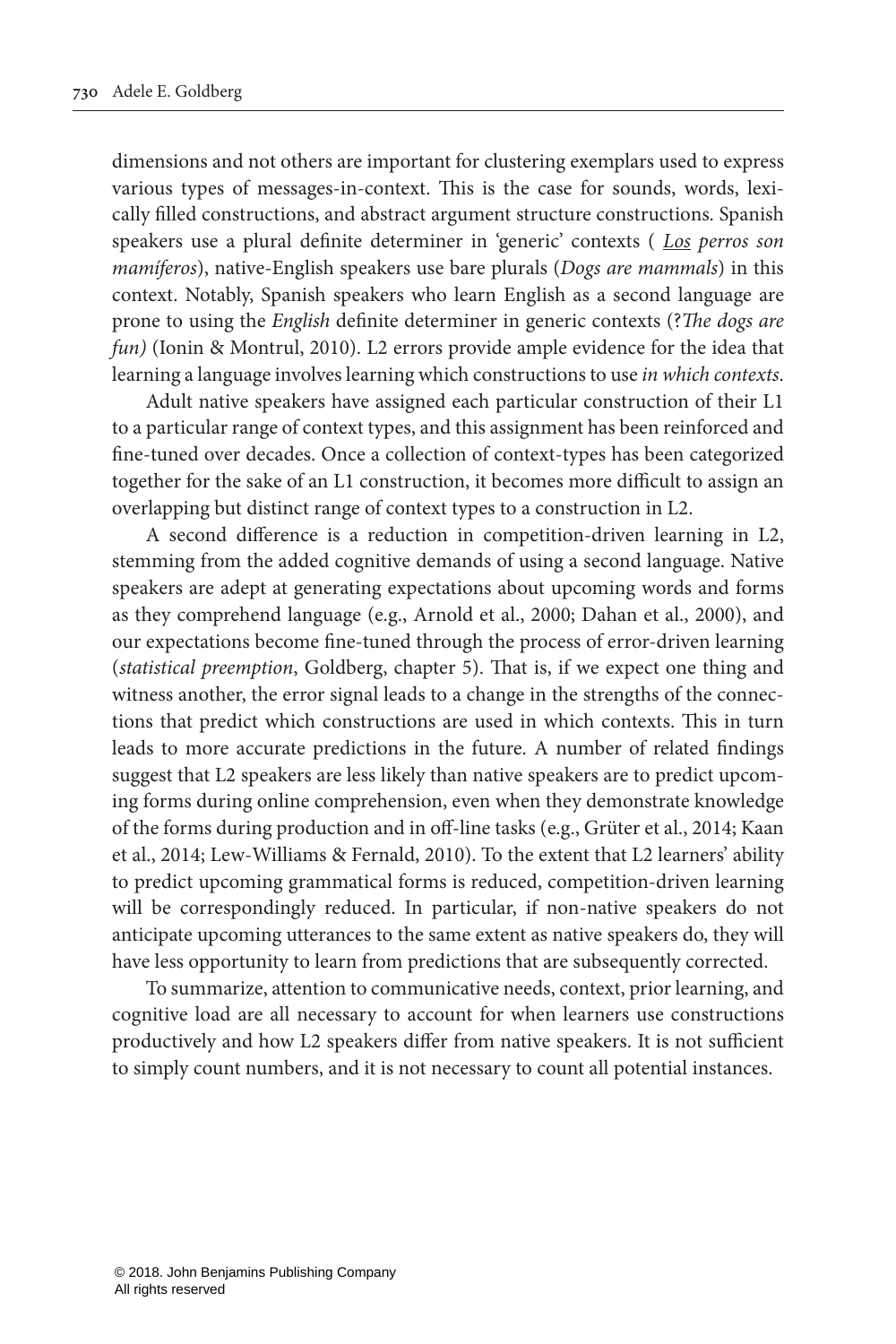dimensions and not others are important for clustering exemplars used to express various types of messages-in-context. This is the case for sounds, words, lexically filled constructions, and abstract argument structure constructions. Spanish speakers use a plural definite determiner in 'generic' contexts ( *Los perros son mamíferos*), native-English speakers use bare plurals (*Dogs are mammals*) in this context. Notably, Spanish speakers who learn English as a second language are prone to using the *English* definite determiner in generic contexts (?*The dogs are fun)* ([Ionin & Montrul, 2010\)](#page-5-12). L2 errors provide ample evidence for the idea that learning a language involves learning which constructions to use *in which contexts*.

Adult native speakers have assigned each particular construction of their L1 to a particular range of context types, and this assignment has been reinforced and fine-tuned over decades. Once a collection of context-types has been categorized together for the sake of an L1 construction, it becomes more difficult to assign an overlapping but distinct range of context types to a construction in L2.

A second difference is a reduction in competition-driven learning in L2, stemming from the added cognitive demands of using a second language. Native speakers are adept at generating expectations about upcoming words and forms as they comprehend language (e.g., [Arnold et al., 2000;](#page-5-13) [Dahan et al., 2000\)](#page-5-14), and our expectations become fine-tuned through the process of error-driven learning (*statistical preemption*, Goldberg, chapter 5). That is, if we expect one thing and witness another, the error signal leads to a change in the strengths of the connections that predict which constructions are used in which contexts. This in turn leads to more accurate predictions in the future. A number of related findings suggest that L2 speakers are less likely than native speakers are to predict upcoming forms during online comprehension, even when they demonstrate knowledge of the forms during production and in off-line tasks (e.g., [Grüter et al., 2014](#page-5-15); [Kaan](#page-5-16)  [et al., 2014;](#page-5-16) [Lew-Williams & Fernald, 2010](#page-5-17)). To the extent that L2 learners' ability to predict upcoming grammatical forms is reduced, competition-driven learning will be correspondingly reduced. In particular, if non-native speakers do not anticipate upcoming utterances to the same extent as native speakers do, they will have less opportunity to learn from predictions that are subsequently corrected.

To summarize, attention to communicative needs, context, prior learning, and cognitive load are all necessary to account for when learners use constructions productively and how L2 speakers differ from native speakers. It is not sufficient to simply count numbers, and it is not necessary to count all potential instances.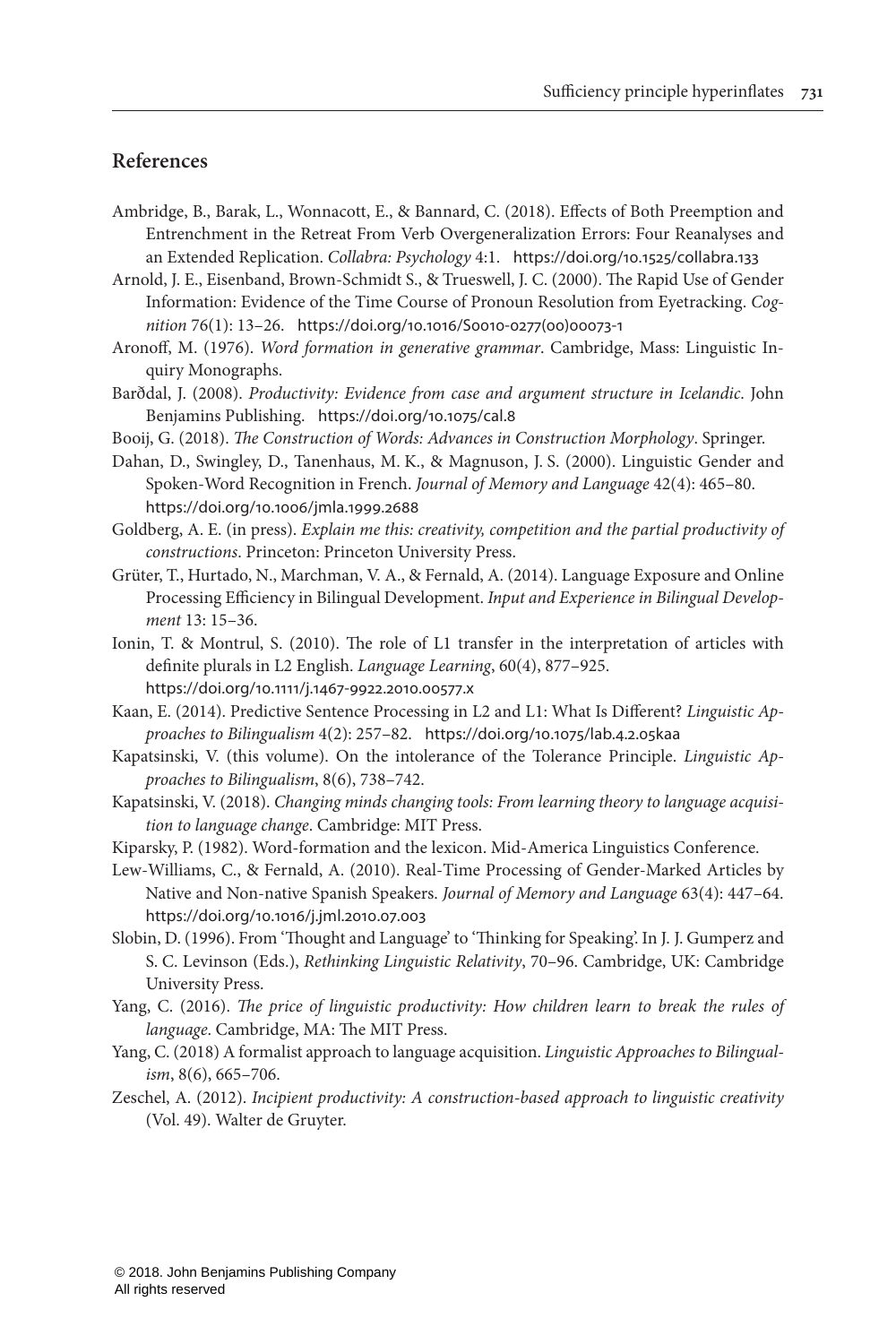#### **References**

- <span id="page-5-4"></span>Ambridge, B., Barak, L., Wonnacott, E., & Bannard, C. (2018). Effects of Both Preemption and Entrenchment in the Retreat From Verb Overgeneralization Errors: Four Reanalyses and an Extended Replication. *Collabra: Psychology* 4:1. <https://doi.org/10.1525/collabra.133>
- <span id="page-5-13"></span>Arnold, J. E., Eisenband, Brown-Schmidt S., & Trueswell, J. C. (2000). The Rapid Use of Gender Information: Evidence of the Time Course of Pronoun Resolution from Eyetracking. *Cognition* 76(1): 13–26. [https://doi.org/10.1016/S0010-0277\(00\)00073-1](https://doi.org/10.1016/S0010-0277(00)00073-1)
- <span id="page-5-9"></span>Aronoff, M. (1976). *Word formation in generative grammar*. Cambridge, Mass: Linguistic Inquiry Monographs.
- <span id="page-5-5"></span>Barðdal, J. (2008). *Productivity: Evidence from case and argument structure in Icelandic*. John Benjamins Publishing. <https://doi.org/10.1075/cal.8>
- <span id="page-5-6"></span>Booij, G. (2018). *The Construction of Words: Advances in Construction Morphology*. Springer.
- <span id="page-5-14"></span>Dahan, D., Swingley, D., Tanenhaus, M. K., & Magnuson, J. S. (2000). Linguistic Gender and Spoken-Word Recognition in French. *Journal of Memory and Language* 42(4): 465–80. <https://doi.org/10.1006/jmla.1999.2688>
- <span id="page-5-3"></span>Goldberg, A. E. (in press). *Explain me this: creativity, competition and the partial productivity of constructions*. Princeton: Princeton University Press.
- <span id="page-5-15"></span>Grüter, T., Hurtado, N., Marchman, V. A., & Fernald, A. (2014). Language Exposure and Online Processing Efficiency in Bilingual Development. *Input and Experience in Bilingual Development* 13: 15–36.
- <span id="page-5-12"></span>Ionin, T. & Montrul, S. (2010). The role of L1 transfer in the interpretation of articles with definite plurals in L2 English. *Language Learning*, 60(4), 877–925. <https://doi.org/10.1111/j.1467-9922.2010.00577.x>
- <span id="page-5-16"></span>Kaan, E. (2014). Predictive Sentence Processing in L2 and L1: What Is Different? *Linguistic Approaches to Bilingualism* 4(2): 257–82. <https://doi.org/10.1075/lab.4.2.05kaa>
- <span id="page-5-2"></span>Kapatsinski, V. (this volume). On the intolerance of the Tolerance Principle. *Linguistic Approaches to Bilingualism*, 8(6), 738–742.
- <span id="page-5-7"></span>Kapatsinski, V. (2018). *Changing minds changing tools: From learning theory to language acquisition to language change*. Cambridge: MIT Press.
- <span id="page-5-10"></span>Kiparsky, P. (1982). Word-formation and the lexicon. Mid-America Linguistics Conference.
- <span id="page-5-17"></span>Lew-Williams, C., & Fernald, A. (2010). Real-Time Processing of Gender-Marked Articles by Native and Non-native Spanish Speakers. *Journal of Memory and Language* 63(4): 447–64. <https://doi.org/10.1016/j.jml.2010.07.003>
- <span id="page-5-11"></span>Slobin, D. (1996). From 'Thought and Language' to 'Thinking for Speaking'. In J. J. Gumperz and S. C. Levinson (Eds.), *Rethinking Linguistic Relativity*, 70–96. Cambridge, UK: Cambridge University Press.
- <span id="page-5-0"></span>Yang, C. (2016). *The price of linguistic productivity: How children learn to break the rules of language*. Cambridge, MA: The MIT Press.
- <span id="page-5-1"></span>Yang, C. (2018) A formalist approach to language acquisition. *Linguistic Approaches to Bilingualism*, 8(6), 665–706.
- <span id="page-5-8"></span>Zeschel, A. (2012). *Incipient productivity: A construction-based approach to linguistic creativity* (Vol. 49). Walter de Gruyter.